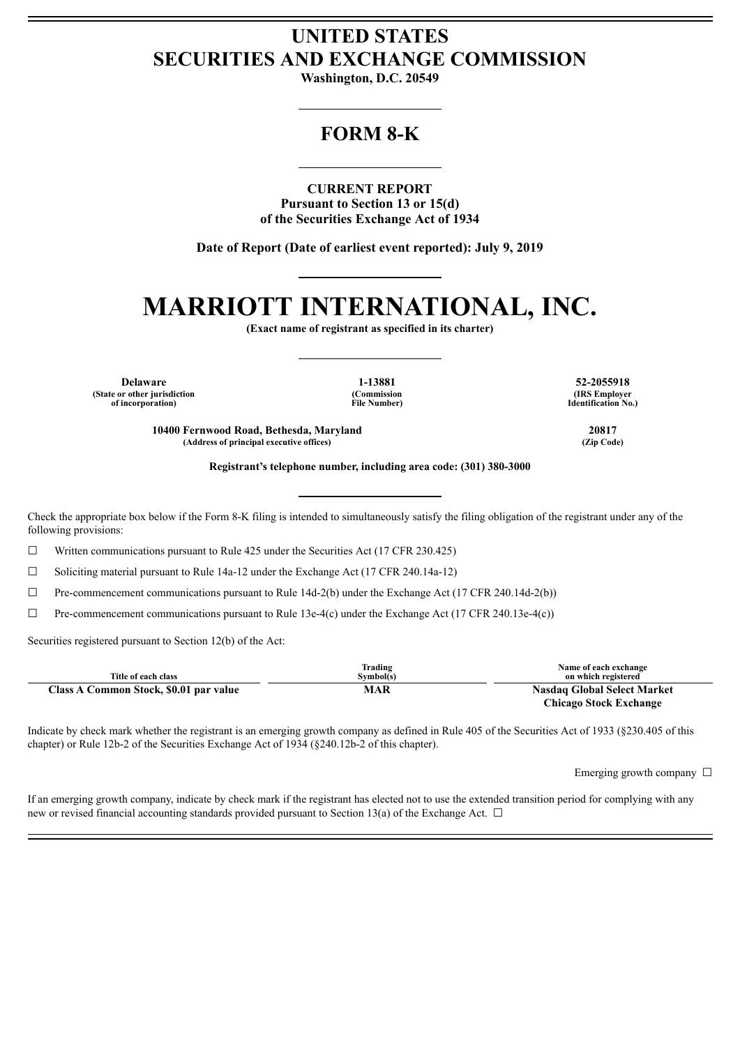## **UNITED STATES SECURITIES AND EXCHANGE COMMISSION**

**Washington, D.C. 20549**

### **FORM 8-K**

**CURRENT REPORT Pursuant to Section 13 or 15(d) of the Securities Exchange Act of 1934**

**Date of Report (Date of earliest event reported): July 9, 2019**

# **MARRIOTT INTERNATIONAL, INC.**

**(Exact name of registrant as specified in its charter)**

**Delaware 1-13881 52-2055918 (State or other jurisdiction of incorporation)**

**(Commission File Number)**

**(IRS Employer Identification No.)**

**10400 Fernwood Road, Bethesda, Maryland 20817 (Address of principal executive offices) (Zip Code)**

**Registrant's telephone number, including area code: (301) 380-3000**

Check the appropriate box below if the Form 8-K filing is intended to simultaneously satisfy the filing obligation of the registrant under any of the following provisions:

 $\Box$  Written communications pursuant to Rule 425 under the Securities Act (17 CFR 230.425)

☐ Soliciting material pursuant to Rule 14a-12 under the Exchange Act (17 CFR 240.14a-12)

 $\Box$  Pre-commencement communications pursuant to Rule 14d-2(b) under the Exchange Act (17 CFR 240.14d-2(b))

 $\Box$  Pre-commencement communications pursuant to Rule 13e-4(c) under the Exchange Act (17 CFR 240.13e-4(c))

Securities registered pursuant to Section 12(b) of the Act:

| Title of each class                    | Trading<br>Symbol(s) | Name of each exchange<br>on which registered |
|----------------------------------------|----------------------|----------------------------------------------|
| Class A Common Stock, \$0.01 par value | MAR                  | <b>Nasdaq Global Select Market</b>           |
|                                        |                      | Chicago Stock Exchange                       |

Indicate by check mark whether the registrant is an emerging growth company as defined in Rule 405 of the Securities Act of 1933 (§230.405 of this chapter) or Rule 12b-2 of the Securities Exchange Act of 1934 (§240.12b-2 of this chapter).

Emerging growth company  $\Box$ 

If an emerging growth company, indicate by check mark if the registrant has elected not to use the extended transition period for complying with any new or revised financial accounting standards provided pursuant to Section 13(a) of the Exchange Act.  $\Box$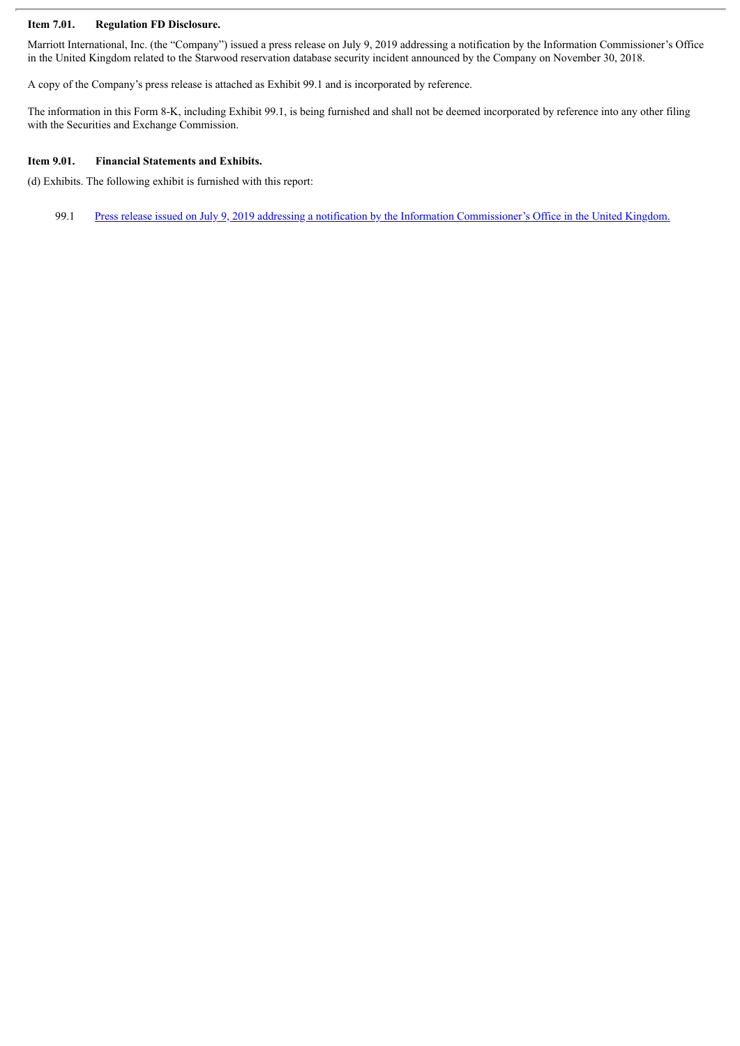#### **Item 7.01. Regulation FD Disclosure.**

Marriott International, Inc. (the "Company") issued a press release on July 9, 2019 addressing a notification by the Information Commissioner's Office in the United Kingdom related to the Starwood reservation database security incident announced by the Company on November 30, 2018.

A copy of the Company's press release is attached as Exhibit 99.1 and is incorporated by reference.

The information in this Form 8-K, including Exhibit 99.1, is being furnished and shall not be deemed incorporated by reference into any other filing with the Securities and Exchange Commission.

#### **Item 9.01. Financial Statements and Exhibits.**

(d) Exhibits. The following exhibit is furnished with this report:

99.1 Press release issued on July 9, 2019 addressing a notification by the Information [Commissioner's](#page-3-0) Office in the United Kingdom.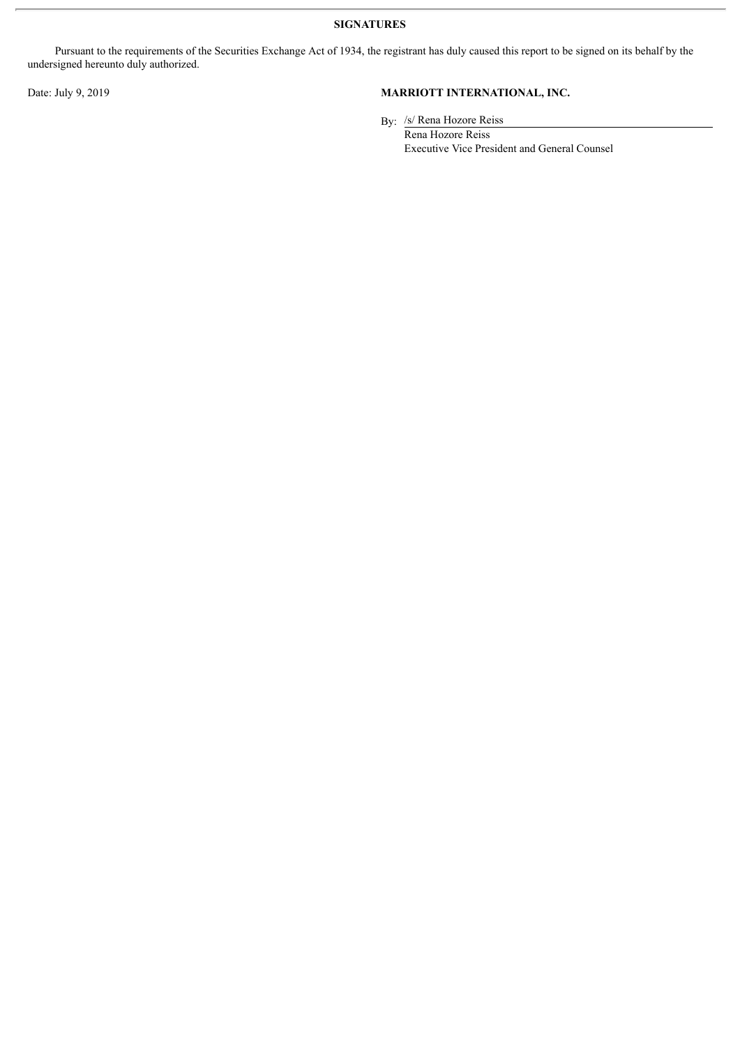**SIGNATURES**

Pursuant to the requirements of the Securities Exchange Act of 1934, the registrant has duly caused this report to be signed on its behalf by the undersigned hereunto duly authorized.

#### Date: July 9, 2019 **MARRIOTT INTERNATIONAL, INC.**

By: /s/ Rena Hozore Reiss

Rena Hozore Reiss Executive Vice President and General Counsel